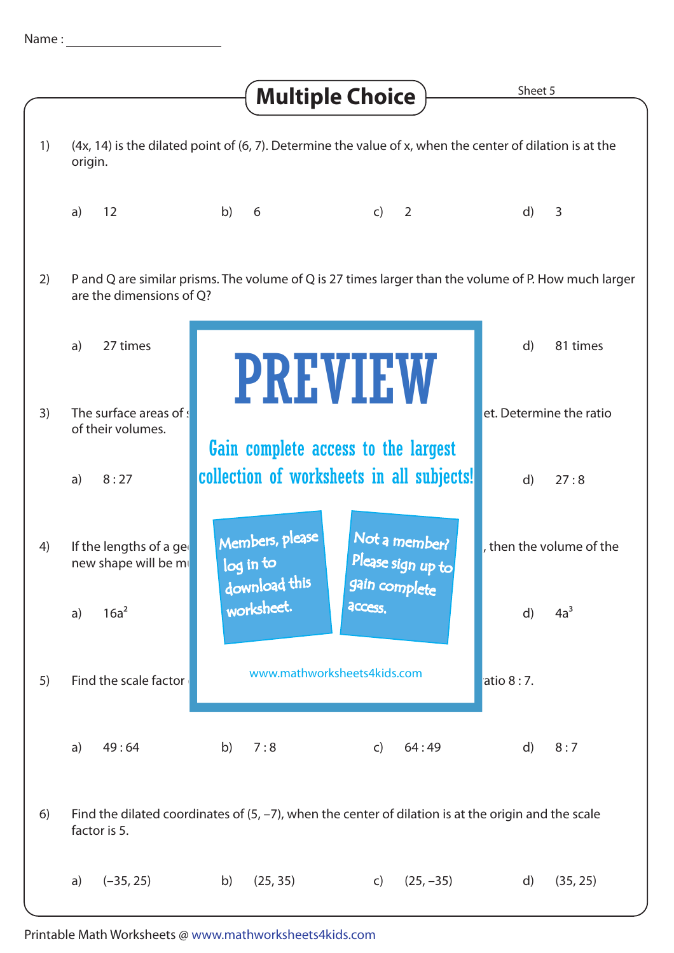